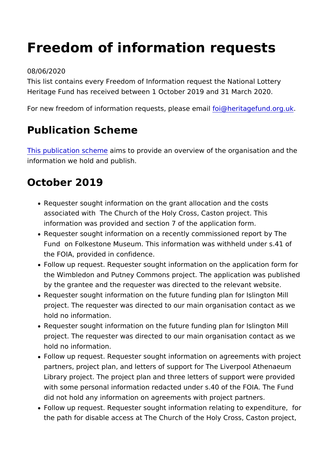# Freedom of information requests

#### 08/06/2020

This list contains every Freedom of Information request the Nat Heritage Fund has received between 1 October 2019 and 31 Mar

For new freedom of information requests  $\alpha$ , plearsie agentaind org.uk

#### Publication Scheme

[This publication](https://www.heritagefund.org.uk/about/transparency/publication-scheme) sahme sation provide an overview of the organisation information we hold and publish.

#### October 2019

- Requester sought information on the grant allocation and th associated with The Church of the Holy Cross, Caston proje information was provided and section 7 of the application fo
- Requester sought information on a recently commissioned re Fund on Folkestone Museum. This information was withheld the FOIA, provided in confidence.
- Follow up request. Requester sought information on the app the Wimbledon and Putney Commons project. The application by the grantee and the requester was directed to the releval
- Requester sought information on the future funding plan for project. The requester was directed to our main organisation hold no information.
- Requester sought information on the future funding plan for project. The requester was directed to our main organisation hold no information.
- Follow up request. Requester sought information on agreeme partners, project plan, and letters of support for The Liverp Library project. The project plan and three letters of suppor with some personal information redacted under s.40 of the F did not hold any information on agreements with project par
- Follow up request. Requester sought information relating to the path for disable access at The Church of the Holy Cross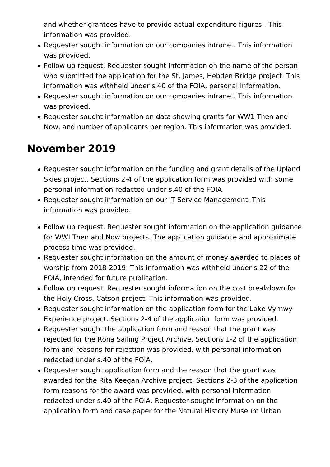and whether grantees have to provide actual expenditure figures . This information was provided.

- Requester sought information on our companies intranet. This information was provided.
- Follow up request. Requester sought information on the name of the person who submitted the application for the St. James, Hebden Bridge project. This information was withheld under s.40 of the FOIA, personal information.
- Requester sought information on our companies intranet. This information was provided.
- Requester sought information on data showing grants for WW1 Then and Now, and number of applicants per region. This information was provided.

### **November 2019**

- Requester sought information on the funding and grant details of the Upland Skies project. Sections 2-4 of the application form was provided with some personal information redacted under s.40 of the FOIA.
- Requester sought information on our IT Service Management. This information was provided.
- Follow up request. Requester sought information on the application guidance for WWI Then and Now projects. The application guidance and approximate process time was provided.
- Requester sought information on the amount of money awarded to places of worship from 2018-2019. This information was withheld under s.22 of the FOIA, intended for future publication.
- Follow up request. Requester sought information on the cost breakdown for the Holy Cross, Catson project. This information was provided.
- Requester sought information on the application form for the Lake Vyrnwy Experience project. Sections 2-4 of the application form was provided.
- Requester sought the application form and reason that the grant was rejected for the Rona Sailing Project Archive. Sections 1-2 of the application form and reasons for rejection was provided, with personal information redacted under s.40 of the FOIA,
- Requester sought application form and the reason that the grant was awarded for the Rita Keegan Archive project. Sections 2-3 of the application form reasons for the award was provided, with personal information redacted under s.40 of the FOIA. Requester sought information on the application form and case paper for the Natural History Museum Urban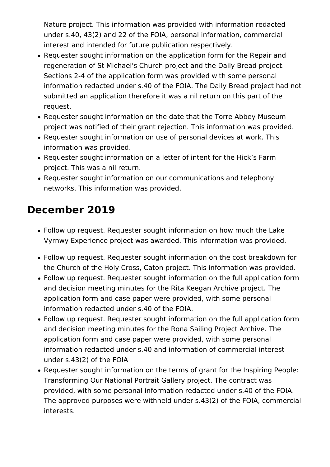Nature project. This information was provided with information redacted under s.40, 43(2) and 22 of the FOIA, personal information, commercial interest and intended for future publication respectively.

- Requester sought information on the application form for the Repair and regeneration of St Michael's Church project and the Daily Bread project. Sections 2-4 of the application form was provided with some personal information redacted under s.40 of the FOIA. The Daily Bread project had not submitted an application therefore it was a nil return on this part of the request.
- Requester sought information on the date that the Torre Abbey Museum project was notified of their grant rejection. This information was provided.
- Requester sought information on use of personal devices at work. This information was provided.
- Requester sought information on a letter of intent for the Hick's Farm project. This was a nil return.
- Requester sought information on our communications and telephony networks. This information was provided.

#### **December 2019**

- Follow up request. Requester sought information on how much the Lake Vyrnwy Experience project was awarded. This information was provided.
- Follow up request. Requester sought information on the cost breakdown for the Church of the Holy Cross, Caton project. This information was provided.
- Follow up request. Requester sought information on the full application form and decision meeting minutes for the Rita Keegan Archive project. The application form and case paper were provided, with some personal information redacted under s.40 of the FOIA.
- Follow up request. Requester sought information on the full application form and decision meeting minutes for the Rona Sailing Project Archive. The application form and case paper were provided, with some personal information redacted under s.40 and information of commercial interest under s.43(2) of the FOIA
- Requester sought information on the terms of grant for the Inspiring People: Transforming Our National Portrait Gallery project. The contract was provided, with some personal information redacted under s.40 of the FOIA. The approved purposes were withheld under s.43(2) of the FOIA, commercial interests.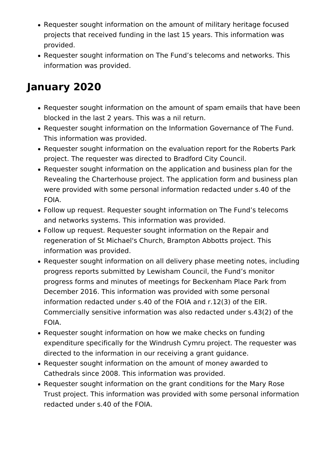- Requester sought information on the amount of military heritage focused projects that received funding in the last 15 years. This information was provided.
- Requester sought information on The Fund's telecoms and networks. This information was provided.

### **January 2020**

- Requester sought information on the amount of spam emails that have been blocked in the last 2 years. This was a nil return.
- Requester sought information on the Information Governance of The Fund. This information was provided.
- Requester sought information on the evaluation report for the Roberts Park project. The requester was directed to Bradford City Council.
- Requester sought information on the application and business plan for the Revealing the Charterhouse project. The application form and business plan were provided with some personal information redacted under s.40 of the FOIA.
- Follow up request. Requester sought information on The Fund's telecoms and networks systems. This information was provided.
- Follow up request. Requester sought information on the Repair and regeneration of St Michael's Church, Brampton Abbotts project. This information was provided.
- Requester sought information on all delivery phase meeting notes, including progress reports submitted by Lewisham Council, the Fund's monitor progress forms and minutes of meetings for Beckenham Place Park from December 2016. This information was provided with some personal information redacted under s.40 of the FOIA and r.12(3) of the EIR. Commercially sensitive information was also redacted under s.43(2) of the FOIA.
- Requester sought information on how we make checks on funding expenditure specifically for the Windrush Cymru project. The requester was directed to the information in our receiving a grant guidance.
- Requester sought information on the amount of money awarded to Cathedrals since 2008. This information was provided.
- Requester sought information on the grant conditions for the Mary Rose Trust project. This information was provided with some personal information redacted under s.40 of the FOIA.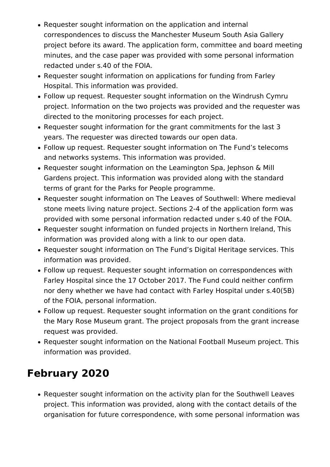- Requester sought information on the application and internal correspondences to discuss the Manchester Museum South Asia Gallery project before its award. The application form, committee and board meeting minutes, and the case paper was provided with some personal information redacted under s.40 of the FOIA.
- Requester sought information on applications for funding from Farley Hospital. This information was provided.
- Follow up request. Requester sought information on the Windrush Cymru project. Information on the two projects was provided and the requester was directed to the monitoring processes for each project.
- Requester sought information for the grant commitments for the last 3 years. The requester was directed towards our open data.
- Follow up request. Requester sought information on The Fund's telecoms and networks systems. This information was provided.
- Requester sought information on the Leamington Spa, Jephson & Mill Gardens project. This information was provided along with the standard terms of grant for the Parks for People programme.
- Requester sought information on The Leaves of Southwell: Where medieval stone meets living nature project. Sections 2-4 of the application form was provided with some personal information redacted under s.40 of the FOIA.
- Requester sought information on funded projects in Northern Ireland, This information was provided along with a link to our open data.
- Requester sought information on The Fund's Digital Heritage services. This information was provided.
- Follow up request. Requester sought information on correspondences with Farley Hospital since the 17 October 2017. The Fund could neither confirm nor deny whether we have had contact with Farley Hospital under s.40(5B) of the FOIA, personal information.
- Follow up request. Requester sought information on the grant conditions for the Mary Rose Museum grant. The project proposals from the grant increase request was provided.
- Requester sought information on the National Football Museum project. This information was provided.

## **February 2020**

Requester sought information on the activity plan for the Southwell Leaves project. This information was provided, along with the contact details of the organisation for future correspondence, with some personal information was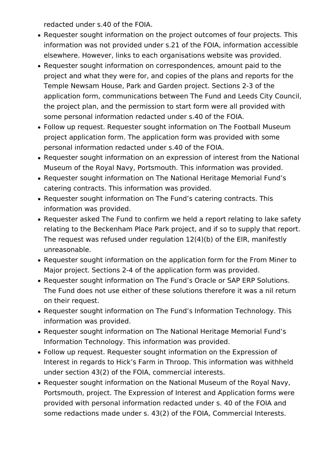redacted under s.40 of the FOIA.

- Requester sought information on the project outcomes of four projects. This information was not provided under s.21 of the FOIA, information accessible elsewhere. However, links to each organisations website was provided.
- Requester sought information on correspondences, amount paid to the project and what they were for, and copies of the plans and reports for the Temple Newsam House, Park and Garden project. Sections 2-3 of the application form, communications between The Fund and Leeds City Council, the project plan, and the permission to start form were all provided with some personal information redacted under s.40 of the FOIA.
- Follow up request. Requester sought information on The Football Museum project application form. The application form was provided with some personal information redacted under s.40 of the FOIA.
- Requester sought information on an expression of interest from the National Museum of the Royal Navy, Portsmouth. This information was provided.
- Requester sought information on The National Heritage Memorial Fund's catering contracts. This information was provided.
- Requester sought information on The Fund's catering contracts. This information was provided.
- Requester asked The Fund to confirm we held a report relating to lake safety relating to the Beckenham Place Park project, and if so to supply that report. The request was refused under regulation 12(4)(b) of the EIR, manifestly unreasonable.
- Requester sought information on the application form for the From Miner to Major project. Sections 2-4 of the application form was provided.
- Requester sought information on The Fund's Oracle or SAP ERP Solutions. The Fund does not use either of these solutions therefore it was a nil return on their request.
- Requester sought information on The Fund's Information Technology. This information was provided.
- Requester sought information on The National Heritage Memorial Fund's Information Technology. This information was provided.
- Follow up request. Requester sought information on the Expression of Interest in regards to Hick's Farm in Throop. This information was withheld under section 43(2) of the FOIA, commercial interests.
- Requester sought information on the National Museum of the Royal Navy, Portsmouth, project. The Expression of Interest and Application forms were provided with personal information redacted under s. 40 of the FOIA and some redactions made under s. 43(2) of the FOIA, Commercial Interests.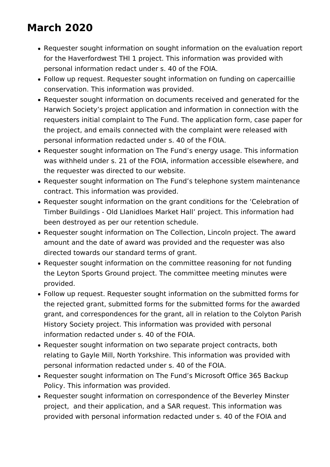## **March 2020**

- Requester sought information on sought information on the evaluation report for the Haverfordwest THI 1 project. This information was provided with personal information redact under s. 40 of the FOIA.
- Follow up request. Requester sought information on funding on capercaillie conservation. This information was provided.
- Requester sought information on documents received and generated for the Harwich Society's project application and information in connection with the requesters initial complaint to The Fund. The application form, case paper for the project, and emails connected with the complaint were released with personal information redacted under s. 40 of the FOIA.
- Requester sought information on The Fund's energy usage. This information was withheld under s. 21 of the FOIA, information accessible elsewhere, and the requester was directed to our website.
- Requester sought information on The Fund's telephone system maintenance contract. This information was provided.
- Requester sought information on the grant conditions for the 'Celebration of Timber Buildings - Old Llanidloes Market Hall' project. This information had been destroyed as per our retention schedule.
- Requester sought information on The Collection, Lincoln project. The award amount and the date of award was provided and the requester was also directed towards our standard terms of grant.
- Requester sought information on the committee reasoning for not funding the Leyton Sports Ground project. The committee meeting minutes were provided.
- Follow up request. Requester sought information on the submitted forms for the rejected grant, submitted forms for the submitted forms for the awarded grant, and correspondences for the grant, all in relation to the Colyton Parish History Society project. This information was provided with personal information redacted under s. 40 of the FOIA.
- Requester sought information on two separate project contracts, both relating to Gayle Mill, North Yorkshire. This information was provided with personal information redacted under s. 40 of the FOIA.
- Requester sought information on The Fund's Microsoft Office 365 Backup Policy. This information was provided.
- Requester sought information on correspondence of the Beverley Minster project, and their application, and a SAR request. This information was provided with personal information redacted under s. 40 of the FOIA and